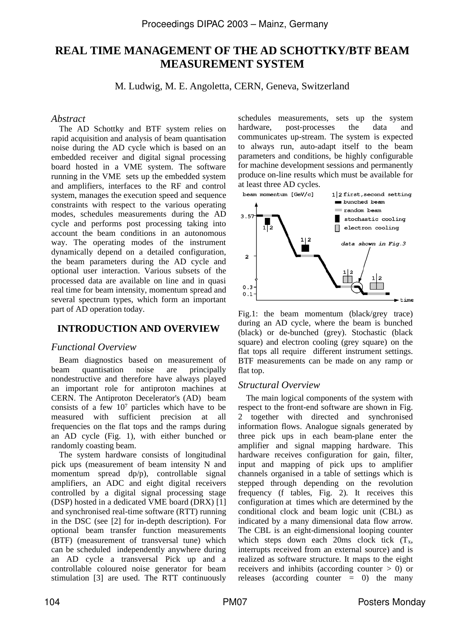# **REAL TIME MANAGEMENT OF THE AD SCHOTTKY/BTF BEAM MEASUREMENT SYSTEM**

M. Ludwig, M. E. Angoletta, CERN, Geneva, Switzerland

### *Abstract*

The AD Schottky and BTF system relies on rapid acquisition and analysis of beam quantisation noise during the AD cycle which is based on an embedded receiver and digital signal processing board hosted in a VME system. The software running in the VME sets up the embedded system and amplifiers, interfaces to the RF and control system, manages the execution speed and sequence constraints with respect to the various operating modes, schedules measurements during the AD cycle and performs post processing taking into account the beam conditions in an autonomous way. The operating modes of the instrument dynamically depend on a detailed configuration, the beam parameters during the AD cycle and optional user interaction. Various subsets of the processed data are available on line and in quasi real time for beam intensity, momentum spread and several spectrum types, which form an important part of AD operation today.

# **INTRODUCTION AND OVERVIEW**

### *Functional Overview*

Beam diagnostics based on measurement of beam quantisation noise are principally nondestructive and therefore have always played an important role for antiproton machines at CERN. The Antiproton Decelerator's (AD) beam consists of a few 107 particles which have to be measured with sufficient precision at all frequencies on the flat tops and the ramps during an AD cycle (Fig. 1), with either bunched or randomly coasting beam.

The system hardware consists of longitudinal pick ups (measurement of beam intensity N and momentum spread dp/p), controllable signal amplifiers, an ADC and eight digital receivers controlled by a digital signal processing stage (DSP) hosted in a dedicated VME board (DRX) [1] and synchronised real-time software (RTT) running in the DSC (see [2] for in-depth description). For optional beam transfer function measurements (BTF) (measurement of transversal tune) which can be scheduled independently anywhere during an AD cycle a transversal Pick up and a controllable coloured noise generator for beam stimulation [3] are used. The RTT continuously schedules measurements, sets up the system<br>hardware. post-processes the data and post-processes the data and communicates up-stream. The system is expected to always run, auto-adapt itself to the beam parameters and conditions, be highly configurable for machine development sessions and permanently produce on-line results which must be available for at least three AD cycles.



Fig.1: the beam momentum (black/grey trace) during an AD cycle, where the beam is bunched (black) or de-bunched (grey). Stochastic (black square) and electron cooling (grey square) on the flat tops all require different instrument settings. BTF measurements can be made on any ramp or flat top.

### *Structural Overview*

The main logical components of the system with respect to the front-end software are shown in Fig. 2 together with directed and synchronised information flows. Analogue signals generated by three pick ups in each beam-plane enter the amplifier and signal mapping hardware. This hardware receives configuration for gain, filter, input and mapping of pick ups to amplifier channels organised in a table of settings which is stepped through depending on the revolution frequency (f tables, Fig. 2). It receives this configuration at times which are determined by the conditional clock and beam logic unit (CBL) as indicated by a many dimensional data flow arrow. The CBL is an eight-dimensional looping counter which steps down each 20ms clock tick  $(T_x, T_y)$ interrupts received from an external source) and is realized as software structure. It maps to the eight receivers and inhibits (according counter > 0) or releases (according counter  $= 0$ ) the many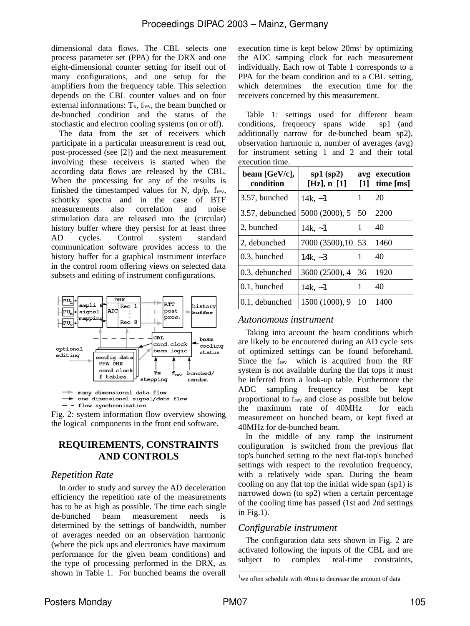dimensional data flows. The CBL selects one process parameter set (PPA) for the DRX and one eight-dimensional counter setting for itself out of many configurations, and one setup for the amplifiers from the frequency table. This selection depends on the CBL counter values and on four external informations:  $T_x$ ,  $f_{rev}$ , the beam bunched or de-bunched condition and the status of the stochastic and electron cooling systems (on or off).

The data from the set of receivers which participate in a particular measurement is read out, post-processed (see [2]) and the next measurement involving these receivers is started when the according data flows are released by the CBL. When the processing for any of the results is finished the timestamped values for N,  $dp/p$ ,  $f_{rev}$ , schottky spectra and in the case of BTF measurements also correlation and noise measurements stimulation data are released into the (circular) history buffer where they persist for at least three<br>AD cycles. Control system standard AD cycles. Control communication software provides access to the history buffer for a graphical instrument interface in the control room offering views on selected data subsets and editing of instrument configurations.



 $-$  - flow synchronisation

Fig. 2: system information flow overview showing the logical components in the front end software.

# **REQUIREMENTS, CONSTRAINTS AND CONTROLS**

#### *Repetition Rate*

In order to study and survey the AD deceleration efficiency the repetition rate of the measurements has to be as high as possible. The time each single de-bunched beam measurement needs is determined by the settings of bandwidth, number of averages needed on an observation harmonic (where the pick ups and electronics have maximum performance for the given beam conditions) and the type of processing performed in the DRX, as shown in Table 1. For bunched beams the overall

execution time is kept below  $20\text{ms}^1$  by optimizing the ADC samping clock for each measurement individually. Each row of Table 1 corresponds to a PPA for the beam condition and to a CBL setting,<br>which determines the execution time for the the execution time for the receivers concerned by this measurement.

Table 1: settings used for different beam<br>onditions, frequency spans wide sp1 (and conditions, frequency spans wide additionally narrow for de-bunched beam sp2), observation harmonic n, number of averages (avg) for instrument setting 1 and 2 and their total execution time.

| beam [GeV/c],<br>condition | $sp1$ (sp2)<br>[Hz], n [1] | avg<br>$\lceil 1 \rceil$ | execution<br>time [ms] |
|----------------------------|----------------------------|--------------------------|------------------------|
| 3.57, bunched              | 14k. $-1$                  | 1                        | 20                     |
| 3.57, debunched            | 5000 (2000), 5             | 50                       | 2200                   |
| 2, bunched                 | 14k, $-1$                  | 1                        | 40                     |
| 2, debunched               | 7000 (3500), 10            | 53                       | 1460                   |
| 0.3, bunched               | 14k, $-3$                  | 1                        | 40                     |
| 0.3, debunched             | 3600 (2500), 4             | 36                       | 1920                   |
| $0.1$ , bunched            | 14k, $-1$                  | 1                        | 40                     |
| 0.1, debunched             | 1500 (1000), 9             | 10                       | 1400                   |

#### *Autonomous instrument*

Taking into account the beam conditions which are likely to be encoutered during an AD cycle sets of optimized settings can be found beforehand. Since the  $f_{rev}$  which is acquired from the RF system is not available during the flat tops it must be inferred from a look-up table. Furthermore the ADC sampling frequency must be kept proportional to f<sub>rev</sub> and close as possible but below<br>the maximum rate of 40MHz for each the maximum rate of  $40MHz$ measurement on bunched beam, or kept fixed at 40MHz for de-bunched beam.

In the middle of any ramp the instrument configuration is switched from the previous flat top's bunched setting to the next flat-top's bunched settings with respect to the revolution frequency, with a relatively wide span. During the beam cooling on any flat top the initial wide span (sp1) is narrowed down (to sp2) when a certain percentage of the cooling time has passed (1st and 2nd settings in Fig.1).

# *Configurable instrument*

The configuration data sets shown in Fig. 2 are activated following the inputs of the CBL and are subject to complex real-time constraints,

<sup>&</sup>lt;sup>1</sup>we often schedule with 40ms to decrease the amount of data